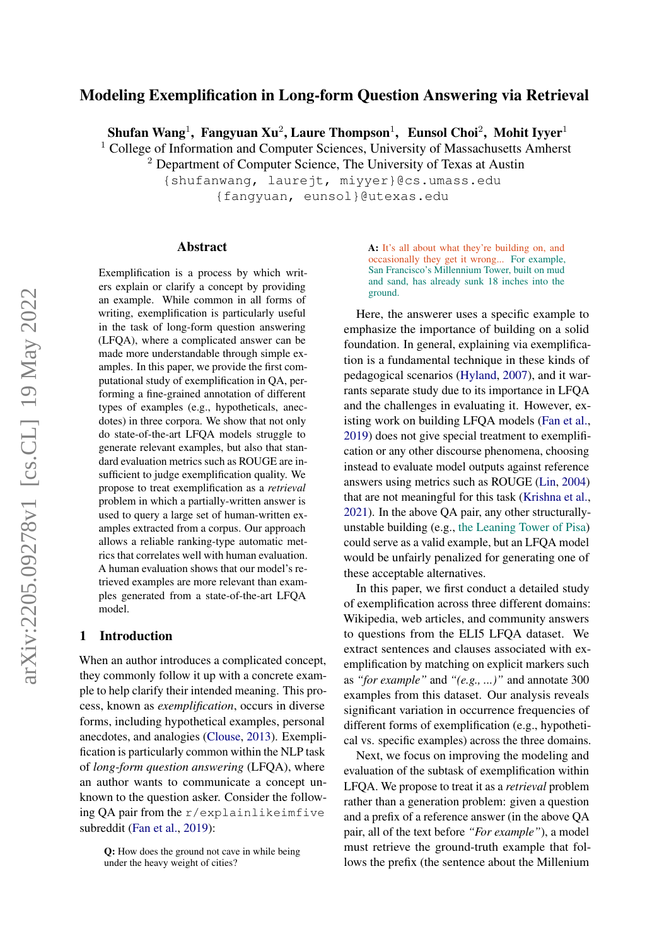# Modeling Exemplification in Long-form Question Answering via Retrieval

Shufan Wang $^1$ , Fangyuan Xu $^2$ , Laure Thompson $^1$ , Eunsol Choi $^2$ , Mohit Iyyer $^1$ 

<sup>1</sup> College of Information and Computer Sciences, University of Massachusetts Amherst

<sup>2</sup> Department of Computer Science, The University of Texas at Austin

{shufanwang, laurejt, miyyer}@cs.umass.edu {fangyuan, eunsol}@utexas.edu

#### Abstract

Exemplification is a process by which writers explain or clarify a concept by providing an example. While common in all forms of writing, exemplification is particularly useful in the task of long-form question answering (LFQA), where a complicated answer can be made more understandable through simple examples. In this paper, we provide the first computational study of exemplification in QA, performing a fine-grained annotation of different types of examples (e.g., hypotheticals, anecdotes) in three corpora. We show that not only do state-of-the-art LFQA models struggle to generate relevant examples, but also that standard evaluation metrics such as ROUGE are insufficient to judge exemplification quality. We propose to treat exemplification as a *retrieval* problem in which a partially-written answer is used to query a large set of human-written examples extracted from a corpus. Our approach allows a reliable ranking-type automatic metrics that correlates well with human evaluation. A human evaluation shows that our model's retrieved examples are more relevant than examples generated from a state-of-the-art LFQA model.

## 1 Introduction

When an author introduces a complicated concept, they commonly follow it up with a concrete example to help clarify their intended meaning. This process, known as *exemplification*, occurs in diverse forms, including hypothetical examples, personal anecdotes, and analogies [\(Clouse,](#page-9-0) [2013\)](#page-9-0). Exemplification is particularly common within the NLP task of *long-form question answering* (LFQA), where an author wants to communicate a concept unknown to the question asker. Consider the following QA pair from the r/explainlikeimfive subreddit [\(Fan et al.,](#page-9-1) [2019\)](#page-9-1):

A: It's all about what they're building on, and occasionally they get it wrong... For example, San Francisco's Millennium Tower, built on mud and sand, has already sunk 18 inches into the ground.

Here, the answerer uses a specific example to emphasize the importance of building on a solid foundation. In general, explaining via exemplification is a fundamental technique in these kinds of pedagogical scenarios [\(Hyland,](#page-9-2) [2007\)](#page-9-2), and it warrants separate study due to its importance in LFQA and the challenges in evaluating it. However, existing work on building LFQA models [\(Fan et al.,](#page-9-1) [2019\)](#page-9-1) does not give special treatment to exemplification or any other discourse phenomena, choosing instead to evaluate model outputs against reference answers using metrics such as ROUGE [\(Lin,](#page-10-0) [2004\)](#page-10-0) that are not meaningful for this task [\(Krishna et al.,](#page-9-3) [2021\)](#page-9-3). In the above QA pair, any other structurallyunstable building (e.g., the Leaning Tower of Pisa) could serve as a valid example, but an LFQA model would be unfairly penalized for generating one of these acceptable alternatives.

In this paper, we first conduct a detailed study of exemplification across three different domains: Wikipedia, web articles, and community answers to questions from the ELI5 LFQA dataset. We extract sentences and clauses associated with exemplification by matching on explicit markers such as *"for example"* and *"(e.g., ...)"* and annotate 300 examples from this dataset. Our analysis reveals significant variation in occurrence frequencies of different forms of exemplification (e.g., hypothetical vs. specific examples) across the three domains.

Next, we focus on improving the modeling and evaluation of the subtask of exemplification within LFQA. We propose to treat it as a *retrieval* problem rather than a generation problem: given a question and a prefix of a reference answer (in the above QA pair, all of the text before *"For example"*), a model must retrieve the ground-truth example that follows the prefix (the sentence about the Millenium

Q: How does the ground not cave in while being under the heavy weight of cities?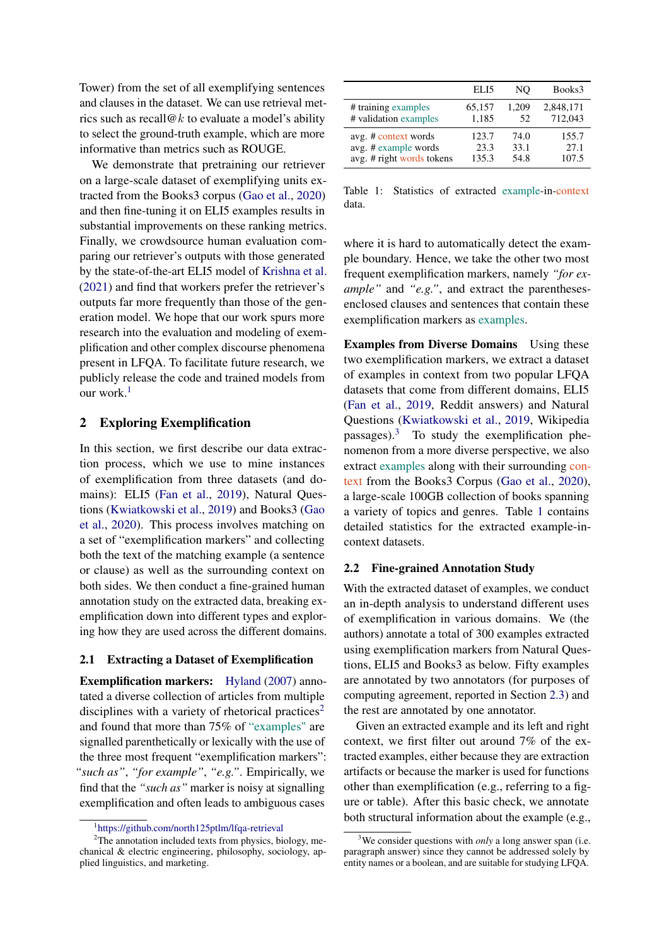Tower) from the set of all exemplifying sentences and clauses in the dataset. We can use retrieval metrics such as recall  $@k$  to evaluate a model's ability to select the ground-truth example, which are more informative than metrics such as ROUGE.

We demonstrate that pretraining our retriever on a large-scale dataset of exemplifying units extracted from the Books3 corpus [\(Gao et al.,](#page-9-4) [2020\)](#page-9-4) and then fine-tuning it on ELI5 examples results in substantial improvements on these ranking metrics. Finally, we crowdsource human evaluation comparing our retriever's outputs with those generated by the state-of-the-art ELI5 model of [Krishna et al.](#page-9-3) [\(2021\)](#page-9-3) and find that workers prefer the retriever's outputs far more frequently than those of the generation model. We hope that our work spurs more research into the evaluation and modeling of exemplification and other complex discourse phenomena present in LFQA. To facilitate future research, we publicly release the code and trained models from our work.<sup>[1](#page-1-0)</sup>

## <span id="page-1-4"></span>2 Exploring Exemplification

In this section, we first describe our data extraction process, which we use to mine instances of exemplification from three datasets (and domains): ELI5 [\(Fan et al.,](#page-9-1) [2019\)](#page-9-1), Natural Questions [\(Kwiatkowski et al.,](#page-9-5) [2019\)](#page-9-5) and Books3 [\(Gao](#page-9-4) [et al.,](#page-9-4) [2020\)](#page-9-4). This process involves matching on a set of "exemplification markers" and collecting both the text of the matching example (a sentence or clause) as well as the surrounding context on both sides. We then conduct a fine-grained human annotation study on the extracted data, breaking exemplification down into different types and exploring how they are used across the different domains.

## 2.1 Extracting a Dataset of Exemplification

Exemplification markers: [Hyland](#page-9-2) [\(2007\)](#page-9-2) annotated a diverse collection of articles from multiple disciplines with a variety of rhetorical practices<sup>[2](#page-1-1)</sup> and found that more than 75% of "examples" are signalled parenthetically or lexically with the use of the three most frequent "exemplification markers": *"such as"*, *"for example"*, *"e.g."*. Empirically, we find that the *"such as"* marker is noisy at signalling exemplification and often leads to ambiguous cases

<span id="page-1-3"></span>

|                           | ELI5   | NO    | Books3    |
|---------------------------|--------|-------|-----------|
| # training examples       | 65,157 | 1.209 | 2,848,171 |
| # validation examples     | 1,185  | 52    | 712,043   |
| avg. # context words      | 123.7  | 74.0  | 155.7     |
| avg. # example words      | 23.3   | 33.1  | 27.1      |
| avg. # right words tokens | 135.3  | 54.8  | 107.5     |

Table 1: Statistics of extracted example-in-context data.

where it is hard to automatically detect the example boundary. Hence, we take the other two most frequent exemplification markers, namely *"for example"* and *"e.g."*, and extract the parenthesesenclosed clauses and sentences that contain these exemplification markers as examples.

Examples from Diverse Domains Using these two exemplification markers, we extract a dataset of examples in context from two popular LFQA datasets that come from different domains, ELI5 [\(Fan et al.,](#page-9-1) [2019,](#page-9-1) Reddit answers) and Natural Questions [\(Kwiatkowski et al.,](#page-9-5) [2019,](#page-9-5) Wikipedia passages).[3](#page-1-2) To study the exemplification phenomenon from a more diverse perspective, we also extract examples along with their surrounding context from the Books3 Corpus [\(Gao et al.,](#page-9-4) [2020\)](#page-9-4), a large-scale 100GB collection of books spanning a variety of topics and genres. Table [1](#page-1-3) contains detailed statistics for the extracted example-incontext datasets.

### 2.2 Fine-grained Annotation Study

With the extracted dataset of examples, we conduct an in-depth analysis to understand different uses of exemplification in various domains. We (the authors) annotate a total of 300 examples extracted using exemplification markers from Natural Questions, ELI5 and Books3 as below. Fifty examples are annotated by two annotators (for purposes of computing agreement, reported in Section [2.3\)](#page-3-0) and the rest are annotated by one annotator.

Given an extracted example and its left and right context, we first filter out around 7% of the extracted examples, either because they are extraction artifacts or because the marker is used for functions other than exemplification (e.g., referring to a figure or table). After this basic check, we annotate both structural information about the example (e.g.,

<span id="page-1-1"></span><span id="page-1-0"></span><sup>1</sup> [https://github.com/north125ptlm/lfqa-retrieval]( https://github.com/north125ptlm/lfqa-retrieval )

<sup>2</sup>The annotation included texts from physics, biology, mechanical & electric engineering, philosophy, sociology, applied linguistics, and marketing.

<span id="page-1-2"></span><sup>&</sup>lt;sup>3</sup>We consider questions with *only* a long answer span (i.e. paragraph answer) since they cannot be addressed solely by entity names or a boolean, and are suitable for studying LFQA.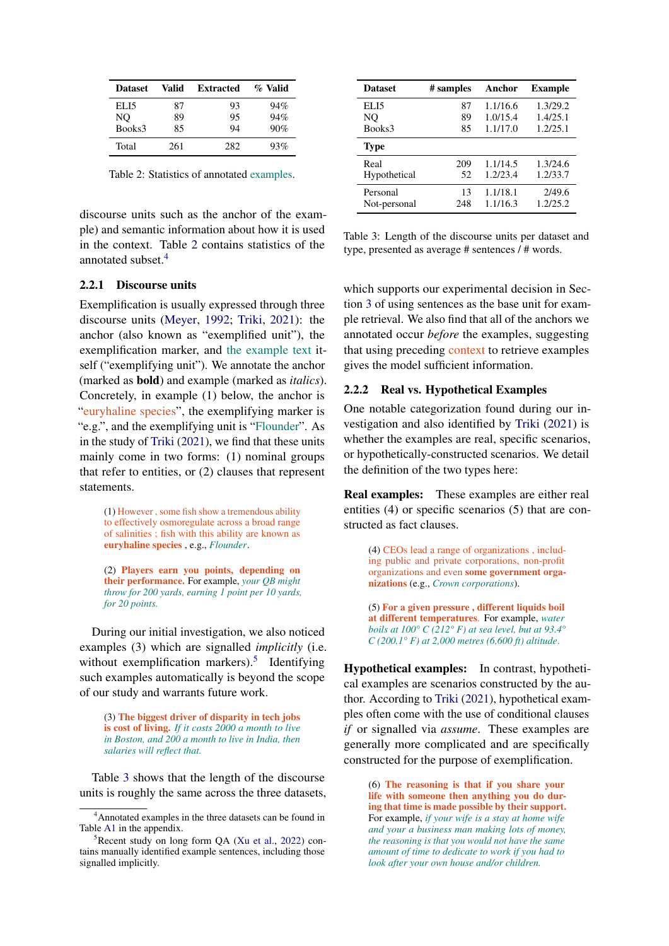<span id="page-2-0"></span>

| <b>Dataset</b> | Valid | <b>Extracted</b> | % Valid |
|----------------|-------|------------------|---------|
| ELI5           | 87    | 93               | 94%     |
| NO             | 89    | 95               | 94%     |
| Books3         | 85    | 94               | 90%     |
| Total          | 261   | 282              | 93%     |

Table 2: Statistics of annotated examples.

discourse units such as the anchor of the example) and semantic information about how it is used in the context. Table [2](#page-2-0) contains statistics of the annotated subset [4](#page-2-1)

### 2.2.1 Discourse units

Exemplification is usually expressed through three discourse units [\(Meyer,](#page-10-1) [1992;](#page-10-1) [Triki,](#page-10-2) [2021\)](#page-10-2): the anchor (also known as "exemplified unit"), the exemplification marker, and the example text itself ("exemplifying unit"). We annotate the anchor (marked as bold) and example (marked as *italics*). Concretely, in example (1) below, the anchor is "euryhaline species", the exemplifying marker is "e.g.", and the exemplifying unit is "Flounder". As in the study of [Triki](#page-10-2) [\(2021\)](#page-10-2), we find that these units mainly come in two forms: (1) nominal groups that refer to entities, or (2) clauses that represent statements.

(1) However , some fish show a tremendous ability to effectively osmoregulate across a broad range of salinities ; fish with this ability are known as euryhaline species , e.g., *Flounder*.

(2) Players earn you points, depending on their performance. For example, *your QB might throw for 200 yards, earning 1 point per 10 yards, for 20 points.*

During our initial investigation, we also noticed examples (3) which are signalled *implicitly* (i.e. without exemplification markers).<sup>[5](#page-2-2)</sup> Identifying such examples automatically is beyond the scope of our study and warrants future work.

(3) The biggest driver of disparity in tech jobs is cost of living. *If it costs 2000 a month to live in Boston, and 200 a month to live in India, then salaries will reflect that.*

Table [3](#page-2-3) shows that the length of the discourse units is roughly the same across the three datasets,

<span id="page-2-3"></span>

| <b>Dataset</b> | # samples | Anchor   | <b>Example</b> |
|----------------|-----------|----------|----------------|
| ELI5           | 87        | 1.1/16.6 | 1.3/29.2       |
| NO             | 89        | 1.0/15.4 | 1.4/25.1       |
| Books3         | 85        | 1.1/17.0 | 1.2/25.1       |
| <b>Type</b>    |           |          |                |
| Real           | 209       | 1.1/14.5 | 1.3/24.6       |
| Hypothetical   | 52        | 1.2/23.4 | 1.2/33.7       |
| Personal       | 13        | 1.1/18.1 | 2/49.6         |
| Not-personal   | 248       | 1.1/16.3 | 1.2/25.2       |

Table 3: Length of the discourse units per dataset and type, presented as average # sentences / # words.

which supports our experimental decision in Section [3](#page-3-1) of using sentences as the base unit for example retrieval. We also find that all of the anchors we annotated occur *before* the examples, suggesting that using preceding context to retrieve examples gives the model sufficient information.

### 2.2.2 Real vs. Hypothetical Examples

One notable categorization found during our investigation and also identified by [Triki](#page-10-2) [\(2021\)](#page-10-2) is whether the examples are real, specific scenarios, or hypothetically-constructed scenarios. We detail the definition of the two types here:

Real examples: These examples are either real entities (4) or specific scenarios (5) that are constructed as fact clauses.

> (4) CEOs lead a range of organizations , including public and private corporations, non-profit organizations and even some government organizations (e.g., *Crown corporations*).

> (5) For a given pressure , different liquids boil at different temperatures. For example, *water boils at 100° C (212° F) at sea level, but at 93.4° C (200.1° F) at 2,000 metres (6,600 ft) altitude*.

Hypothetical examples: In contrast, hypothetical examples are scenarios constructed by the author. According to [Triki](#page-10-2) [\(2021\)](#page-10-2), hypothetical examples often come with the use of conditional clauses *if* or signalled via *assume*. These examples are generally more complicated and are specifically constructed for the purpose of exemplification.

> (6) The reasoning is that if you share your life with someone then anything you do during that time is made possible by their support. For example, *if your wife is a stay at home wife and your a business man making lots of money, the reasoning is that you would not have the same amount of time to dedicate to work if you had to look after your own house and/or children.*

<span id="page-2-1"></span><sup>4</sup>Annotated examples in the three datasets can be found in Table [A1](#page-13-0) in the appendix.

<span id="page-2-2"></span> ${}^{5}$ Recent study on long form QA [\(Xu et al.,](#page-10-3) [2022\)](#page-10-3) contains manually identified example sentences, including those signalled implicitly.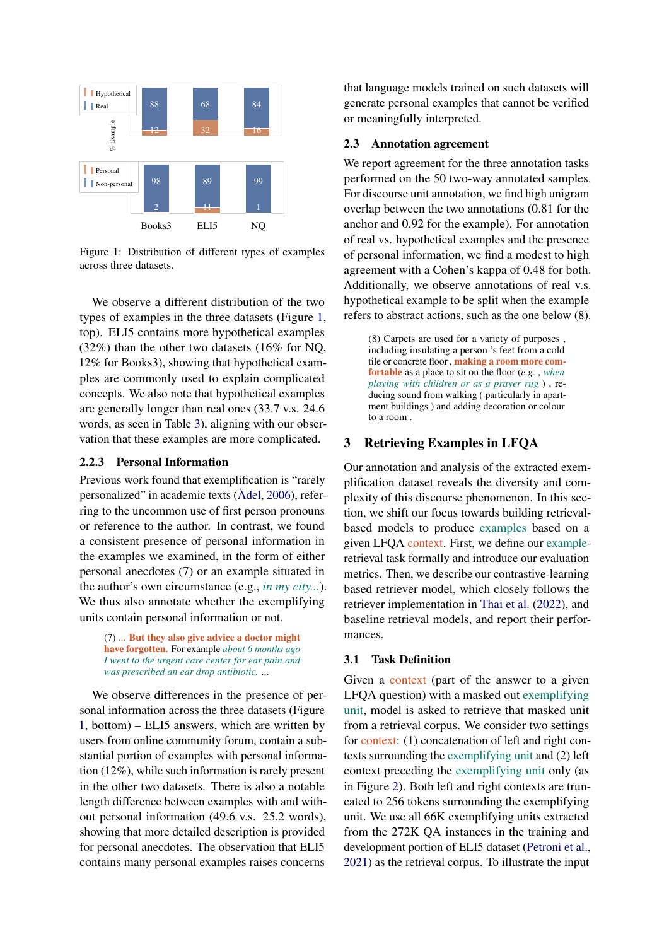<span id="page-3-2"></span>

Figure 1: Distribution of different types of examples across three datasets.

We observe a different distribution of the two types of examples in the three datasets (Figure [1,](#page-3-2) top). ELI5 contains more hypothetical examples (32%) than the other two datasets (16% for NQ, 12% for Books3), showing that hypothetical examples are commonly used to explain complicated concepts. We also note that hypothetical examples are generally longer than real ones (33.7 v.s. 24.6 words, as seen in Table [3\)](#page-2-3), aligning with our observation that these examples are more complicated.

## 2.2.3 Personal Information

Previous work found that exemplification is "rarely personalized" in academic texts [\(Ädel,](#page-9-6) [2006\)](#page-9-6), referring to the uncommon use of first person pronouns or reference to the author. In contrast, we found a consistent presence of personal information in the examples we examined, in the form of either personal anecdotes (7) or an example situated in the author's own circumstance (e.g., *in my city...*). We thus also annotate whether the exemplifying units contain personal information or not.

(7) ... But they also give advice a doctor might have forgotten. For example *about 6 months ago I went to the urgent care center for ear pain and was prescribed an ear drop antibiotic.* ...

We observe differences in the presence of personal information across the three datasets (Figure [1,](#page-3-2) bottom) – ELI5 answers, which are written by users from online community forum, contain a substantial portion of examples with personal information (12%), while such information is rarely present in the other two datasets. There is also a notable length difference between examples with and without personal information (49.6 v.s. 25.2 words), showing that more detailed description is provided for personal anecdotes. The observation that ELI5 contains many personal examples raises concerns

that language models trained on such datasets will generate personal examples that cannot be verified or meaningfully interpreted.

### <span id="page-3-0"></span>2.3 Annotation agreement

We report agreement for the three annotation tasks performed on the 50 two-way annotated samples. For discourse unit annotation, we find high unigram overlap between the two annotations (0.81 for the anchor and 0.92 for the example). For annotation of real vs. hypothetical examples and the presence of personal information, we find a modest to high agreement with a Cohen's kappa of 0.48 for both. Additionally, we observe annotations of real v.s. hypothetical example to be split when the example refers to abstract actions, such as the one below (8).

(8) Carpets are used for a variety of purposes , including insulating a person 's feet from a cold tile or concrete floor , making a room more comfortable as a place to sit on the floor (*e.g. , when playing with children or as a prayer rug* ) , reducing sound from walking ( particularly in apartment buildings ) and adding decoration or colour to a room .

## <span id="page-3-1"></span>3 Retrieving Examples in LFQA

Our annotation and analysis of the extracted exemplification dataset reveals the diversity and complexity of this discourse phenomenon. In this section, we shift our focus towards building retrievalbased models to produce examples based on a given LFQA context. First, we define our exampleretrieval task formally and introduce our evaluation metrics. Then, we describe our contrastive-learning based retriever model, which closely follows the retriever implementation in [Thai et al.](#page-10-4) [\(2022\)](#page-10-4), and baseline retrieval models, and report their performances.

### 3.1 Task Definition

Given a context (part of the answer to a given LFQA question) with a masked out exemplifying unit, model is asked to retrieve that masked unit from a retrieval corpus. We consider two settings for context: (1) concatenation of left and right contexts surrounding the exemplifying unit and (2) left context preceding the exemplifying unit only (as in Figure [2\)](#page-4-0). Both left and right contexts are truncated to 256 tokens surrounding the exemplifying unit. We use all 66K exemplifying units extracted from the 272K QA instances in the training and development portion of ELI5 dataset [\(Petroni et al.,](#page-10-5) [2021\)](#page-10-5) as the retrieval corpus. To illustrate the input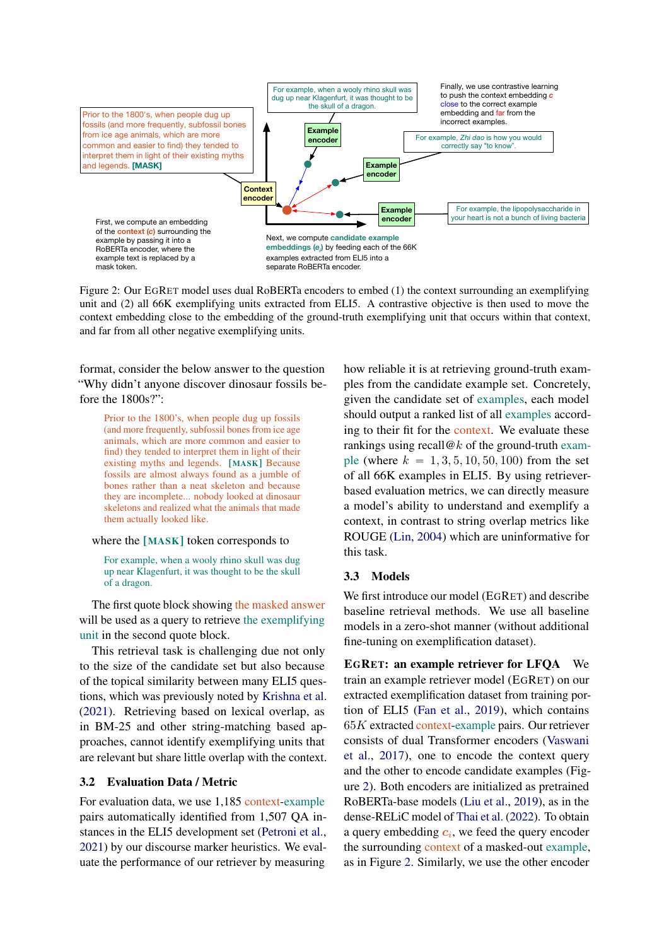<span id="page-4-0"></span>

Figure 2: Our EGRET model uses dual RoBERTa encoders to embed (1) the context surrounding an exemplifying unit and (2) all 66K exemplifying units extracted from ELI5. A contrastive objective is then used to move the context embedding close to the embedding of the ground-truth exemplifying unit that occurs within that context, and far from all other negative exemplifying units.

format, consider the below answer to the question "Why didn't anyone discover dinosaur fossils before the 1800s?":

> Prior to the 1800's, when people dug up fossils (and more frequently, subfossil bones from ice age animals, which are more common and easier to find) they tended to interpret them in light of their existing myths and legends. [MASK] Because fossils are almost always found as a jumble of bones rather than a neat skeleton and because they are incomplete... nobody looked at dinosaur skeletons and realized what the animals that made them actually looked like.

#### where the [MASK] token corresponds to

For example, when a wooly rhino skull was dug up near Klagenfurt, it was thought to be the skull of a dragon.

The first quote block showing the masked answer will be used as a query to retrieve the exemplifying unit in the second quote block.

This retrieval task is challenging due not only to the size of the candidate set but also because of the topical similarity between many ELI5 questions, which was previously noted by [Krishna et al.](#page-9-3) [\(2021\)](#page-9-3). Retrieving based on lexical overlap, as in BM-25 and other string-matching based approaches, cannot identify exemplifying units that are relevant but share little overlap with the context.

#### 3.2 Evaluation Data / Metric

For evaluation data, we use 1,185 context-example pairs automatically identified from 1,507 QA instances in the ELI5 development set [\(Petroni et al.,](#page-10-5) [2021\)](#page-10-5) by our discourse marker heuristics. We evaluate the performance of our retriever by measuring

how reliable it is at retrieving ground-truth examples from the candidate example set. Concretely, given the candidate set of examples, each model should output a ranked list of all examples according to their fit for the context. We evaluate these rankings using recall  $@k$  of the ground-truth example (where  $k = 1, 3, 5, 10, 50, 100$ ) from the set of all 66K examples in ELI5. By using retrieverbased evaluation metrics, we can directly measure a model's ability to understand and exemplify a context, in contrast to string overlap metrics like ROUGE [\(Lin,](#page-10-0) [2004\)](#page-10-0) which are uninformative for this task.

### 3.3 Models

We first introduce our model (EGRET) and describe baseline retrieval methods. We use all baseline models in a zero-shot manner (without additional fine-tuning on exemplification dataset).

EGRET: an example retriever for LFQA We train an example retriever model (EGRET) on our extracted exemplification dataset from training portion of ELI5 [\(Fan et al.,](#page-9-1) [2019\)](#page-9-1), which contains  $65K$  extracted context-example pairs. Our retriever consists of dual Transformer encoders [\(Vaswani](#page-10-6) [et al.,](#page-10-6) [2017\)](#page-10-6), one to encode the context query and the other to encode candidate examples (Figure [2\)](#page-4-0). Both encoders are initialized as pretrained RoBERTa-base models [\(Liu et al.,](#page-10-7) [2019\)](#page-10-7), as in the dense-RELiC model of [Thai et al.](#page-10-4) [\(2022\)](#page-10-4). To obtain a query embedding  $c_i$ , we feed the query encoder the surrounding context of a masked-out example, as in Figure [2.](#page-4-0) Similarly, we use the other encoder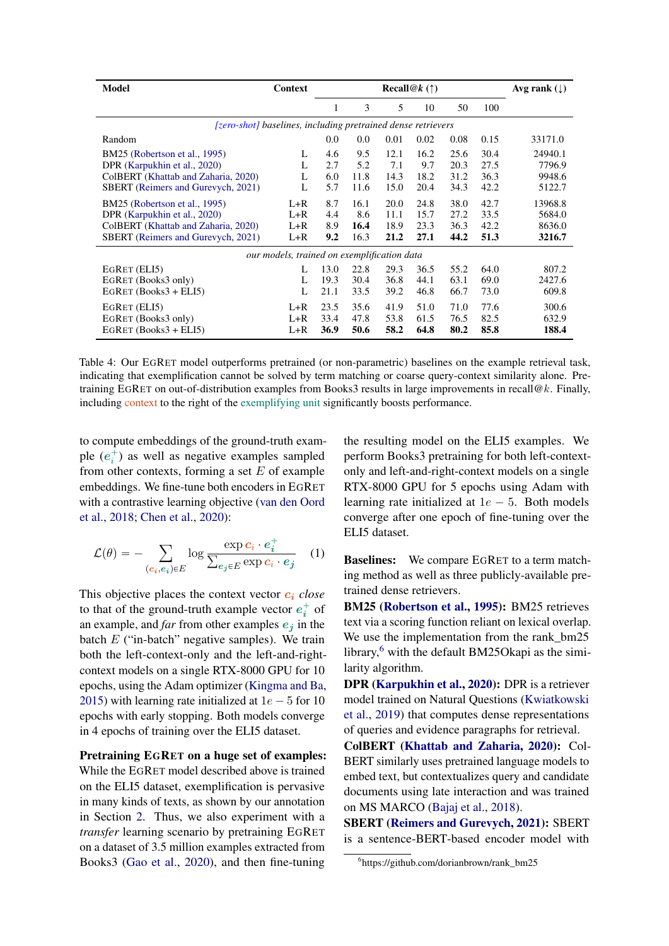<span id="page-5-1"></span>

| Model                                                                                                                                             | Context                                     |                          |                             |                              | <b>Recall</b> @ $k(\uparrow)$ |                              |                              | Avg rank $(\downarrow)$               |
|---------------------------------------------------------------------------------------------------------------------------------------------------|---------------------------------------------|--------------------------|-----------------------------|------------------------------|-------------------------------|------------------------------|------------------------------|---------------------------------------|
|                                                                                                                                                   |                                             | 1                        | 3                           | 5                            | 10                            | 50                           | 100                          |                                       |
| [zero-shot] baselines, including pretrained dense retrievers                                                                                      |                                             |                          |                             |                              |                               |                              |                              |                                       |
| Random                                                                                                                                            |                                             | 0.0                      | 0.0                         | 0.01                         | 0.02                          | 0.08                         | 0.15                         | 33171.0                               |
| BM25 (Robertson et al., 1995)<br>DPR (Karpukhin et al., 2020)<br>ColBERT (Khattab and Zaharia, 2020)<br><b>SBERT</b> (Reimers and Gurevych, 2021) | L<br>L<br>L<br>L                            | 4.6<br>2.7<br>6.0<br>5.7 | 9.5<br>5.2<br>11.8<br>11.6  | 12.1<br>7.1<br>14.3<br>15.0  | 16.2<br>9.7<br>18.2<br>20.4   | 25.6<br>20.3<br>31.2<br>34.3 | 30.4<br>27.5<br>36.3<br>42.2 | 24940.1<br>7796.9<br>9948.6<br>5122.7 |
| BM25 (Robertson et al., 1995)<br>DPR (Karpukhin et al., 2020)<br>ColBERT (Khattab and Zaharia, 2020)<br><b>SBERT</b> (Reimers and Gurevych, 2021) | $L+R$<br>$L+R$<br>$L+R$<br>$L+R$            | 8.7<br>4.4<br>8.9<br>9.2 | 16.1<br>8.6<br>16.4<br>16.3 | 20.0<br>11.1<br>18.9<br>21.2 | 24.8<br>15.7<br>23.3<br>27.1  | 38.0<br>27.2<br>36.3<br>44.2 | 42.7<br>33.5<br>42.2<br>51.3 | 13968.8<br>5684.0<br>8636.0<br>3216.7 |
|                                                                                                                                                   | our models, trained on exemplification data |                          |                             |                              |                               |                              |                              |                                       |
| EGRET (ELI5)<br>EGRET (Books3 only)<br>EGRET $(Books3 + ELI5)$                                                                                    | L<br>L<br>L                                 | 13.0<br>19.3<br>21.1     | 22.8<br>30.4<br>33.5        | 29.3<br>36.8<br>39.2         | 36.5<br>44.1<br>46.8          | 55.2<br>63.1<br>66.7         | 64.0<br>69.0<br>73.0         | 807.2<br>2427.6<br>609.8              |
| EGRET (ELI5)<br>EGRET (Books3 only)<br>EGRET $(Books3 + ELI5)$                                                                                    | $L+R$<br>$L+R$<br>$L+R$                     | 23.5<br>33.4<br>36.9     | 35.6<br>47.8<br>50.6        | 41.9<br>53.8<br>58.2         | 51.0<br>61.5<br>64.8          | 71.0<br>76.5<br>80.2         | 77.6<br>82.5<br>85.8         | 300.6<br>632.9<br>188.4               |

Table 4: Our EGRET model outperforms pretrained (or non-parametric) baselines on the example retrieval task, indicating that exemplification cannot be solved by term matching or coarse query-context similarity alone. Pretraining EGRET on out-of-distribution examples from Books3 results in large improvements in recall@k. Finally, including context to the right of the exemplifying unit significantly boosts performance.

to compute embeddings of the ground-truth example  $(e_i^+)$  as well as negative examples sampled from other contexts, forming a set  $E$  of example embeddings. We fine-tune both encoders in EGRET with a contrastive learning objective [\(van den Oord](#page-10-10) [et al.,](#page-10-10) [2018;](#page-10-10) [Chen et al.,](#page-9-9) [2020\)](#page-9-9):

$$
\mathcal{L}(\theta) = -\sum_{(c_i, e_i) \in E} \log \frac{\exp c_i \cdot e_i^+}{\sum_{e_j \in E} \exp c_i \cdot e_j} \quad (1)
$$

This objective places the context vector  $c_i$  *close* to that of the ground-truth example vector  $e_i^+$  of an example, and *far* from other examples  $e_i$  in the batch  $E$  ("in-batch" negative samples). We train both the left-context-only and the left-and-rightcontext models on a single RTX-8000 GPU for 10 epochs, using the Adam optimizer [\(Kingma and Ba,](#page-9-10) [2015\)](#page-9-10) with learning rate initialized at  $1e - 5$  for 10 epochs with early stopping. Both models converge in 4 epochs of training over the ELI5 dataset.

Pretraining EGRET on a huge set of examples: While the EGRET model described above is trained on the ELI5 dataset, exemplification is pervasive in many kinds of texts, as shown by our annotation in Section [2.](#page-1-4) Thus, we also experiment with a *transfer* learning scenario by pretraining EGRET on a dataset of 3.5 million examples extracted from Books3 [\(Gao et al.,](#page-9-4) [2020\)](#page-9-4), and then fine-tuning

the resulting model on the ELI5 examples. We perform Books3 pretraining for both left-contextonly and left-and-right-context models on a single RTX-8000 GPU for 5 epochs using Adam with learning rate initialized at  $1e - 5$ . Both models converge after one epoch of fine-tuning over the ELI5 dataset.

Baselines: We compare EGRET to a term matching method as well as three publicly-available pretrained dense retrievers.

BM25 [\(Robertson et al.,](#page-10-8) [1995\)](#page-10-8): BM25 retrieves text via a scoring function reliant on lexical overlap. We use the implementation from the rank\_bm25 library, $6$  with the default BM25Okapi as the similarity algorithm.

DPR [\(Karpukhin et al.,](#page-9-7) [2020\)](#page-9-7): DPR is a retriever model trained on Natural Questions [\(Kwiatkowski](#page-9-5) [et al.,](#page-9-5) [2019\)](#page-9-5) that computes dense representations of queries and evidence paragraphs for retrieval.

ColBERT [\(Khattab and Zaharia,](#page-9-8) [2020\)](#page-9-8): Col-BERT similarly uses pretrained language models to embed text, but contextualizes query and candidate documents using late interaction and was trained on MS MARCO [\(Bajaj et al.,](#page-9-11) [2018\)](#page-9-11).

SBERT [\(Reimers and Gurevych,](#page-10-9) [2021\)](#page-10-9): SBERT is a sentence-BERT-based encoder model with

<span id="page-5-0"></span><sup>6</sup> https://github.com/dorianbrown/rank\_bm25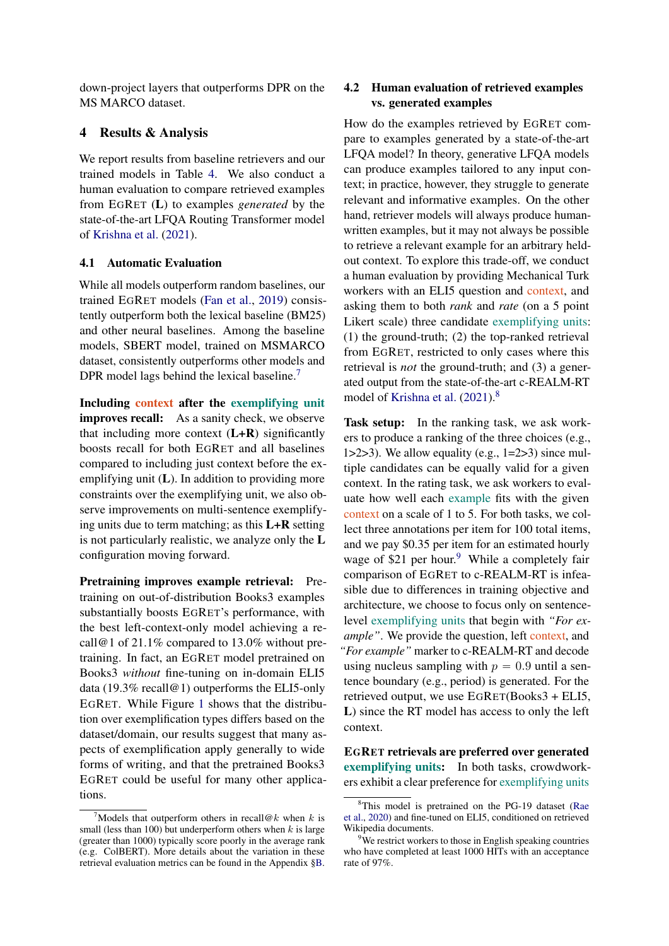down-project layers that outperforms DPR on the MS MARCO dataset.

## 4 Results & Analysis

We report results from baseline retrievers and our trained models in Table [4.](#page-5-1) We also conduct a human evaluation to compare retrieved examples from EGRET (L) to examples *generated* by the state-of-the-art LFQA Routing Transformer model of [Krishna et al.](#page-9-3) [\(2021\)](#page-9-3).

## 4.1 Automatic Evaluation

While all models outperform random baselines, our trained EGRET models [\(Fan et al.,](#page-9-1) [2019\)](#page-9-1) consistently outperform both the lexical baseline (BM25) and other neural baselines. Among the baseline models, SBERT model, trained on MSMARCO dataset, consistently outperforms other models and DPR model lags behind the lexical baseline.<sup>[7](#page-6-0)</sup>

Including context after the exemplifying unit improves recall: As a sanity check, we observe that including more context  $(L+R)$  significantly boosts recall for both EGRET and all baselines compared to including just context before the exemplifying unit  $(L)$ . In addition to providing more constraints over the exemplifying unit, we also observe improvements on multi-sentence exemplifying units due to term matching; as this  $L+R$  setting is not particularly realistic, we analyze only the L configuration moving forward.

Pretraining improves example retrieval: Pretraining on out-of-distribution Books3 examples substantially boosts EGRET's performance, with the best left-context-only model achieving a recall@1 of 21.1% compared to 13.0% without pretraining. In fact, an EGRET model pretrained on Books3 *without* fine-tuning on in-domain ELI5 data (19.3% recall@1) outperforms the ELI5-only EGRET. While Figure [1](#page-3-2) shows that the distribution over exemplification types differs based on the dataset/domain, our results suggest that many aspects of exemplification apply generally to wide forms of writing, and that the pretrained Books3 EGRET could be useful for many other applications.

## 4.2 Human evaluation of retrieved examples vs. generated examples

How do the examples retrieved by EGRET compare to examples generated by a state-of-the-art LFQA model? In theory, generative LFQA models can produce examples tailored to any input context; in practice, however, they struggle to generate relevant and informative examples. On the other hand, retriever models will always produce humanwritten examples, but it may not always be possible to retrieve a relevant example for an arbitrary heldout context. To explore this trade-off, we conduct a human evaluation by providing Mechanical Turk workers with an ELI5 question and context, and asking them to both *rank* and *rate* (on a 5 point Likert scale) three candidate exemplifying units: (1) the ground-truth; (2) the top-ranked retrieval from EGRET, restricted to only cases where this retrieval is *not* the ground-truth; and (3) a generated output from the state-of-the-art c-REALM-RT model of [Krishna et al.](#page-9-3) [\(2021\)](#page-9-3).<sup>[8](#page-6-1)</sup>

Task setup: In the ranking task, we ask workers to produce a ranking of the three choices (e.g., 1>2>3). We allow equality (e.g.,  $1=2>3$ ) since multiple candidates can be equally valid for a given context. In the rating task, we ask workers to evaluate how well each example fits with the given context on a scale of 1 to 5. For both tasks, we collect three annotations per item for 100 total items, and we pay \$0.35 per item for an estimated hourly wage of  $$21$  per hour.<sup>[9](#page-6-2)</sup> While a completely fair comparison of EGRET to c-REALM-RT is infeasible due to differences in training objective and architecture, we choose to focus only on sentencelevel exemplifying units that begin with *"For example*". We provide the question, left context, and *"For example"* marker to c-REALM-RT and decode using nucleus sampling with  $p = 0.9$  until a sentence boundary (e.g., period) is generated. For the retrieved output, we use EGRET(Books3 + ELI5, L) since the RT model has access to only the left context.

EGRET retrievals are preferred over generated exemplifying units: In both tasks, crowdworkers exhibit a clear preference for exemplifying units

<span id="page-6-0"></span>Models that outperform others in recall@k when k is small (less than 100) but underperform others when  $k$  is large (greater than 1000) typically score poorly in the average rank (e.g. ColBERT). More details about the variation in these retrieval evaluation metrics can be found in the Appendix [§B.](#page-12-0)

<span id="page-6-1"></span><sup>8</sup>This model is pretrained on the PG-19 dataset [\(Rae](#page-10-11) [et al.,](#page-10-11) [2020\)](#page-10-11) and fine-tuned on ELI5, conditioned on retrieved Wikipedia documents.

<span id="page-6-2"></span><sup>&</sup>lt;sup>9</sup>We restrict workers to those in English speaking countries who have completed at least 1000 HITs with an acceptance rate of 97%.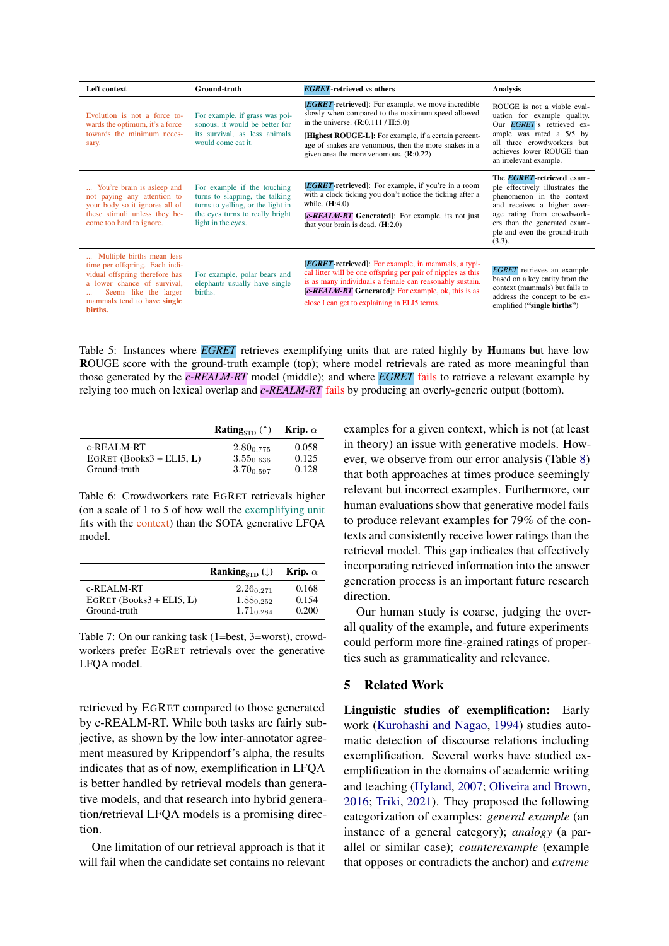| Left context                                                                                                                                                                                    | <b>Ground-truth</b>                                                                                                                                         | <b>EGRET-retrieved vs others</b>                                                                                                                                                                                                                                                                                                    | <b>Analysis</b>                                                                                                                                                                                                                           |
|-------------------------------------------------------------------------------------------------------------------------------------------------------------------------------------------------|-------------------------------------------------------------------------------------------------------------------------------------------------------------|-------------------------------------------------------------------------------------------------------------------------------------------------------------------------------------------------------------------------------------------------------------------------------------------------------------------------------------|-------------------------------------------------------------------------------------------------------------------------------------------------------------------------------------------------------------------------------------------|
| Evolution is not a force to-<br>wards the optimum, it's a force<br>towards the minimum neces-<br>sary.                                                                                          | For example, if grass was poi-<br>sonous, it would be better for<br>its survival, as less animals<br>would come eat it.                                     | <b><i>EGRET</i></b> -retrieved: For example, we move incredible<br>slowly when compared to the maximum speed allowed<br>in the universe. $(R:0.111 / H:5.0)$<br>[Highest ROUGE-L]: For example, if a certain percent-<br>age of snakes are venomous, then the more snakes in a<br>given area the more venomous. $(\mathbf{R}:0.22)$ | ROUGE is not a viable eval-<br>uation for example quality.<br>Our <i>EGRET</i> 's retrieved ex-<br>ample was rated a 5/5 by<br>all three crowdworkers but<br>achieves lower ROUGE than<br>an irrelevant example.                          |
| You're brain is asleep and<br>not paying any attention to<br>your body so it ignores all of<br>these stimuli unless they be-<br>come too hard to ignore.                                        | For example if the touching<br>turns to slapping, the talking<br>turns to yelling, or the light in<br>the eyes turns to really bright<br>light in the eyes. | <b><i>EGRET</i></b> -retrieved]: For example, if you're in a room<br>with a clock ticking you don't notice the ticking after a<br>while. $(H:4.0)$<br>[c-REALM-RT] Generated]: For example, its not just<br>that your brain is dead. $(H:2.0)$                                                                                      | The <b>EGRET</b> -retrieved exam-<br>ple effectively illustrates the<br>phenomenon in the context<br>and receives a higher aver-<br>age rating from crowdwork-<br>ers than the generated exam-<br>ple and even the ground-truth<br>(3.3). |
| Multiple births mean less<br>time per offspring. Each indi-<br>vidual offspring therefore has<br>a lower chance of survival,<br>Seems like the larger<br>mammals tend to have single<br>births. | For example, polar bears and<br>elephants usually have single<br>births.                                                                                    | <b>[EGRET-retrieved]</b> : For example, in mammals, a typi-<br>cal litter will be one offspring per pair of nipples as this<br>is as many individuals a female can reasonably sustain.<br>[c-REALM-RT Generated]: For example, ok, this is as<br>close I can get to explaining in ELI5 terms.                                       | <b>EGRET</b> retrieves an example<br>based on a key entity from the<br>context (mammals) but fails to<br>address the concept to be ex-<br>emplified ("single births")                                                                     |

Table 5: Instances where *EGRET* retrieves exemplifying units that are rated highly by Humans but have low ROUGE score with the ground-truth example (top); where model retrievals are rated as more meaningful than those generated by the *c-REALM-RT* model (middle); and where *EGRET* fails to retrieve a relevant example by relying too much on lexical overlap and *c-REALM-RT* fails by producing an overly-generic output (bottom).

|                            | <b>Rating</b> <sub>sm</sub> $(\uparrow)$ | Krip. $\alpha$ |
|----------------------------|------------------------------------------|----------------|
| c-REALM-RT                 | $2.80_{0.775}$                           | 0.058          |
| EGRET $(Books3 + ELI5, L)$ | $3.55_{0.636}$                           | 0.125          |
| Ground-truth               | $3.70_{0.597}$                           | 0.128          |

Table 6: Crowdworkers rate EGRET retrievals higher (on a scale of 1 to 5 of how well the exemplifying unit fits with the context) than the SOTA generative LFQA model.

|                            | Ranking <sub>sTD</sub> $(\downarrow)$ | Krip. $\alpha$ |
|----------------------------|---------------------------------------|----------------|
| c-REALM-RT                 | $2.26_{0.271}$                        | 0.168          |
| EGRET $(Books3 + ELI5, L)$ | $1.88_{0.252}$                        | 0.154          |
| Ground-truth               | $1.71_{0.284}$                        | 0.200          |

Table 7: On our ranking task (1=best, 3=worst), crowdworkers prefer EGRET retrievals over the generative LFQA model.

retrieved by EGRET compared to those generated by c-REALM-RT. While both tasks are fairly subjective, as shown by the low inter-annotator agreement measured by Krippendorf's alpha, the results indicates that as of now, exemplification in LFQA is better handled by retrieval models than generative models, and that research into hybrid generation/retrieval LFQA models is a promising direction.

One limitation of our retrieval approach is that it will fail when the candidate set contains no relevant examples for a given context, which is not (at least in theory) an issue with generative models. However, we observe from our error analysis (Table [8\)](#page-8-0) that both approaches at times produce seemingly relevant but incorrect examples. Furthermore, our human evaluations show that generative model fails to produce relevant examples for 79% of the contexts and consistently receive lower ratings than the retrieval model. This gap indicates that effectively incorporating retrieved information into the answer generation process is an important future research direction.

Our human study is coarse, judging the overall quality of the example, and future experiments could perform more fine-grained ratings of properties such as grammaticality and relevance.

## 5 Related Work

Linguistic studies of exemplification: Early work [\(Kurohashi and Nagao,](#page-9-12) [1994\)](#page-9-12) studies automatic detection of discourse relations including exemplification. Several works have studied exemplification in the domains of academic writing and teaching [\(Hyland,](#page-9-2) [2007;](#page-9-2) [Oliveira and Brown,](#page-10-12) [2016;](#page-10-12) [Triki,](#page-10-2) [2021\)](#page-10-2). They proposed the following categorization of examples: *general example* (an instance of a general category); *analogy* (a parallel or similar case); *counterexample* (example that opposes or contradicts the anchor) and *extreme*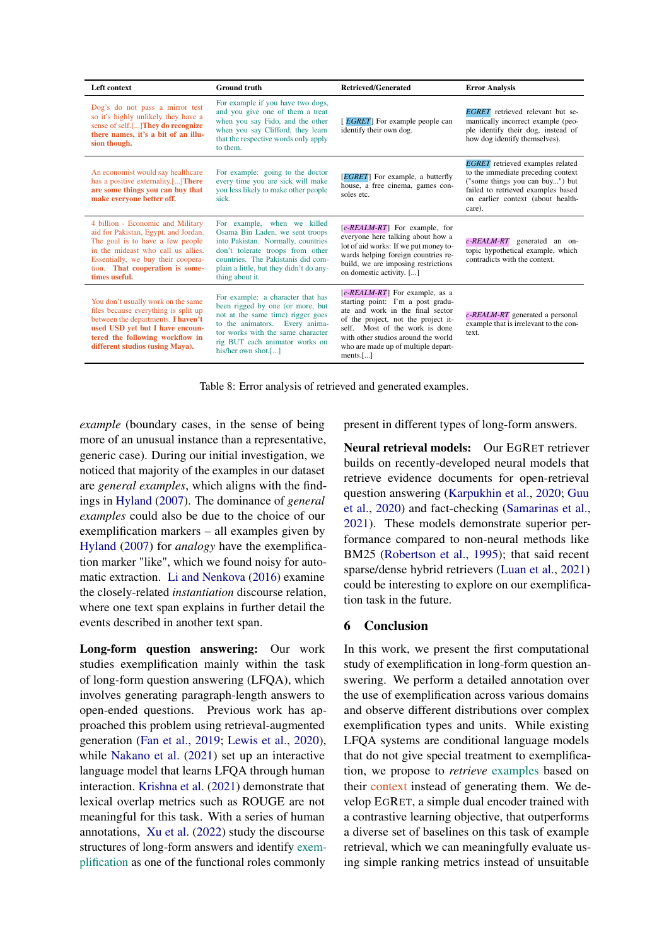<span id="page-8-0"></span>

| Left context                                                                                                                                                                                                                                  | <b>Ground truth</b>                                                                                                                                                                                                                          | Retrieved/Generated                                                                                                                                                                                                                                                                    | <b>Error Analysis</b>                                                                                                                                                                                 |
|-----------------------------------------------------------------------------------------------------------------------------------------------------------------------------------------------------------------------------------------------|----------------------------------------------------------------------------------------------------------------------------------------------------------------------------------------------------------------------------------------------|----------------------------------------------------------------------------------------------------------------------------------------------------------------------------------------------------------------------------------------------------------------------------------------|-------------------------------------------------------------------------------------------------------------------------------------------------------------------------------------------------------|
| Dog's do not pass a mirror test<br>so it's highly unlikely they have a<br>sense of self.[] They do recognize<br>there names, it's a bit of an illu-<br>sion though.                                                                           | For example if you have two dogs,<br>and you give one of them a treat<br>when you say Fido, and the other<br>when you say Clifford, they learn<br>that the respective words only apply<br>to them.                                           | [ <i>EGRET</i> ] For example people can<br>identify their own dog.                                                                                                                                                                                                                     | <b>EGRET</b> retrieved relevant but se-<br>mantically incorrect example (peo-<br>ple identify their dog, instead of<br>how dog identify themselves).                                                  |
| An economist would say healthcare<br>has a positive externality.[]There<br>are some things you can buy that<br>make everyone better off.                                                                                                      | For example: going to the doctor<br>every time you are sick will make<br>you less likely to make other people<br>sick.                                                                                                                       | [ <i>EGRET</i> ] For example, a butterfly<br>house, a free cinema, games con-<br>soles etc.                                                                                                                                                                                            | <b>EGRET</b> retrieved examples related<br>to the immediate preceding context<br>("some things you can buy") but<br>failed to retrieved examples based<br>on earlier context (about health-<br>care). |
| 4 billion - Economic and Military<br>aid for Pakistan, Egypt, and Jordan.<br>The goal is to have a few people<br>in the mideast who call us allies.<br>Essentially, we buy their coopera-<br>tion. That cooperation is some-<br>times useful. | For example, when we killed<br>Osama Bin Laden, we sent troops<br>into Pakistan. Normally, countries<br>don't tolerate troops from other<br>countries. The Pakistanis did com-<br>plain a little, but they didn't do any-<br>thing about it. | $[c$ - <i>REALM-RT</i> For example, for<br>everyone here talking about how a<br>lot of aid works: If we put money to-<br>wards helping foreign countries re-<br>build, we are imposing restrictions<br>on domestic activity. []                                                        | $c$ -REALM-RT generated an on-<br>topic hypothetical example, which<br>contradicts with the context.                                                                                                  |
| You don't usually work on the same<br>files because everything is split up<br>between the departments. I haven't<br>used USD vet but I have encoun-<br>tered the following workflow in<br>different studios (using Maya).                     | For example: a character that has<br>been rigged by one (or more, but<br>not at the same time) rigger goes<br>to the animators. Every anima-<br>tor works with the same character<br>rig BUT each animator works on<br>his/her own shot.[]   | $[c$ - <i>REALM-RT</i> ] For example, as a<br>starting point: I'm a post gradu-<br>ate and work in the final sector<br>of the project, not the project it-<br>self. Most of the work is done<br>with other studios around the world<br>who are made up of multiple depart-<br>ments.[] | $c$ -REALM-RT generated a personal<br>example that is irrelevant to the con-<br>text.                                                                                                                 |

Table 8: Error analysis of retrieved and generated examples.

*example* (boundary cases, in the sense of being more of an unusual instance than a representative, generic case). During our initial investigation, we noticed that majority of the examples in our dataset are *general examples*, which aligns with the findings in [Hyland](#page-9-2) [\(2007\)](#page-9-2). The dominance of *general examples* could also be due to the choice of our exemplification markers – all examples given by [Hyland](#page-9-2) [\(2007\)](#page-9-2) for *analogy* have the exemplification marker "like", which we found noisy for automatic extraction. [Li and Nenkova](#page-10-13) [\(2016\)](#page-10-13) examine the closely-related *instantiation* discourse relation, where one text span explains in further detail the events described in another text span.

Long-form question answering: Our work studies exemplification mainly within the task of long-form question answering (LFQA), which involves generating paragraph-length answers to open-ended questions. Previous work has approached this problem using retrieval-augmented generation [\(Fan et al.,](#page-9-1) [2019;](#page-9-1) [Lewis et al.,](#page-10-14) [2020\)](#page-10-14), while [Nakano et al.](#page-10-15) [\(2021\)](#page-10-15) set up an interactive language model that learns LFQA through human interaction. [Krishna et al.](#page-9-3) [\(2021\)](#page-9-3) demonstrate that lexical overlap metrics such as ROUGE are not meaningful for this task. With a series of human annotations, [Xu et al.](#page-10-3) [\(2022\)](#page-10-3) study the discourse structures of long-form answers and identify exemplification as one of the functional roles commonly

present in different types of long-form answers.

Neural retrieval models: Our EGRET retriever builds on recently-developed neural models that retrieve evidence documents for open-retrieval question answering [\(Karpukhin et al.,](#page-9-7) [2020;](#page-9-7) [Guu](#page-9-13) [et al.,](#page-9-13) [2020\)](#page-9-13) and fact-checking [\(Samarinas et al.,](#page-10-16) [2021\)](#page-10-16). These models demonstrate superior performance compared to non-neural methods like BM25 [\(Robertson et al.,](#page-10-8) [1995\)](#page-10-8); that said recent sparse/dense hybrid retrievers [\(Luan et al.,](#page-10-17) [2021\)](#page-10-17) could be interesting to explore on our exemplification task in the future.

## 6 Conclusion

In this work, we present the first computational study of exemplification in long-form question answering. We perform a detailed annotation over the use of exemplification across various domains and observe different distributions over complex exemplification types and units. While existing LFQA systems are conditional language models that do not give special treatment to exemplification, we propose to *retrieve* examples based on their context instead of generating them. We develop EGRET, a simple dual encoder trained with a contrastive learning objective, that outperforms a diverse set of baselines on this task of example retrieval, which we can meaningfully evaluate using simple ranking metrics instead of unsuitable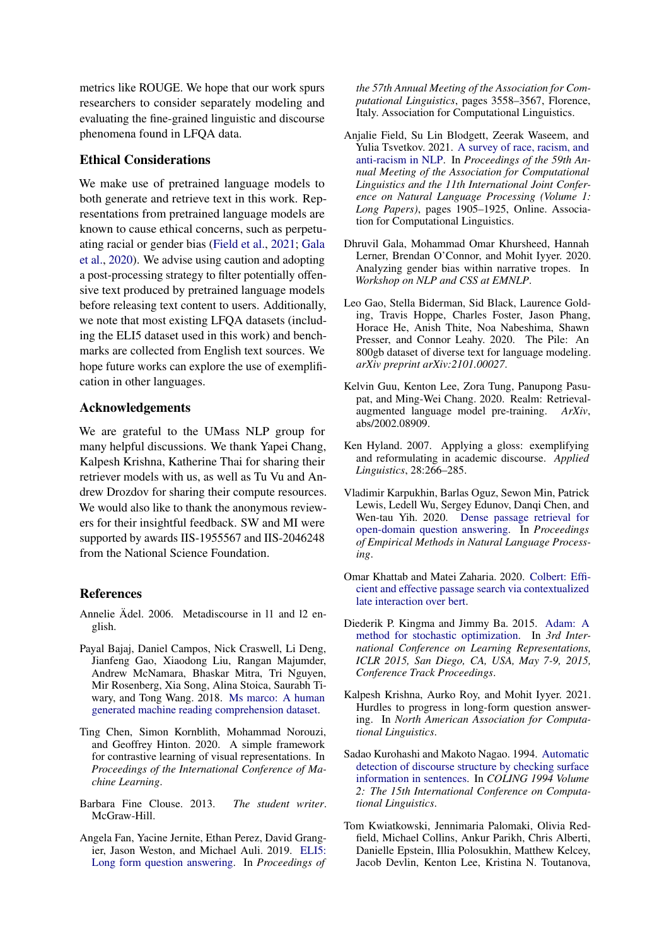metrics like ROUGE. We hope that our work spurs researchers to consider separately modeling and evaluating the fine-grained linguistic and discourse phenomena found in LFQA data.

## Ethical Considerations

We make use of pretrained language models to both generate and retrieve text in this work. Representations from pretrained language models are known to cause ethical concerns, such as perpetuating racial or gender bias [\(Field et al.,](#page-9-14) [2021;](#page-9-14) [Gala](#page-9-15) [et al.,](#page-9-15) [2020\)](#page-9-15). We advise using caution and adopting a post-processing strategy to filter potentially offensive text produced by pretrained language models before releasing text content to users. Additionally, we note that most existing LFQA datasets (including the ELI5 dataset used in this work) and benchmarks are collected from English text sources. We hope future works can explore the use of exemplification in other languages.

#### Acknowledgements

We are grateful to the UMass NLP group for many helpful discussions. We thank Yapei Chang, Kalpesh Krishna, Katherine Thai for sharing their retriever models with us, as well as Tu Vu and Andrew Drozdov for sharing their compute resources. We would also like to thank the anonymous reviewers for their insightful feedback. SW and MI were supported by awards IIS-1955567 and IIS-2046248 from the National Science Foundation.

## References

- <span id="page-9-6"></span>Annelie Ädel. 2006. Metadiscourse in l1 and l2 english.
- <span id="page-9-11"></span>Payal Bajaj, Daniel Campos, Nick Craswell, Li Deng, Jianfeng Gao, Xiaodong Liu, Rangan Majumder, Andrew McNamara, Bhaskar Mitra, Tri Nguyen, Mir Rosenberg, Xia Song, Alina Stoica, Saurabh Tiwary, and Tong Wang. 2018. [Ms marco: A human](http://arxiv.org/abs/1611.09268) [generated machine reading comprehension dataset.](http://arxiv.org/abs/1611.09268)
- <span id="page-9-9"></span>Ting Chen, Simon Kornblith, Mohammad Norouzi, and Geoffrey Hinton. 2020. A simple framework for contrastive learning of visual representations. In *Proceedings of the International Conference of Machine Learning*.
- <span id="page-9-0"></span>Barbara Fine Clouse. 2013. *The student writer*. McGraw-Hill.
- <span id="page-9-1"></span>Angela Fan, Yacine Jernite, Ethan Perez, David Grangier, Jason Weston, and Michael Auli. 2019. [ELI5:](https://doi.org/10.18653/v1/P19-1346) [Long form question answering.](https://doi.org/10.18653/v1/P19-1346) In *Proceedings of*

*the 57th Annual Meeting of the Association for Computational Linguistics*, pages 3558–3567, Florence, Italy. Association for Computational Linguistics.

- <span id="page-9-14"></span>Anjalie Field, Su Lin Blodgett, Zeerak Waseem, and Yulia Tsvetkov. 2021. [A survey of race, racism, and](https://doi.org/10.18653/v1/2021.acl-long.149) [anti-racism in NLP.](https://doi.org/10.18653/v1/2021.acl-long.149) In *Proceedings of the 59th Annual Meeting of the Association for Computational Linguistics and the 11th International Joint Conference on Natural Language Processing (Volume 1: Long Papers)*, pages 1905–1925, Online. Association for Computational Linguistics.
- <span id="page-9-15"></span>Dhruvil Gala, Mohammad Omar Khursheed, Hannah Lerner, Brendan O'Connor, and Mohit Iyyer. 2020. Analyzing gender bias within narrative tropes. In *Workshop on NLP and CSS at EMNLP*.
- <span id="page-9-4"></span>Leo Gao, Stella Biderman, Sid Black, Laurence Golding, Travis Hoppe, Charles Foster, Jason Phang, Horace He, Anish Thite, Noa Nabeshima, Shawn Presser, and Connor Leahy. 2020. The Pile: An 800gb dataset of diverse text for language modeling. *arXiv preprint arXiv:2101.00027*.
- <span id="page-9-13"></span>Kelvin Guu, Kenton Lee, Zora Tung, Panupong Pasupat, and Ming-Wei Chang. 2020. Realm: Retrievalaugmented language model pre-training. *ArXiv*, abs/2002.08909.
- <span id="page-9-2"></span>Ken Hyland. 2007. Applying a gloss: exemplifying and reformulating in academic discourse. *Applied Linguistics*, 28:266–285.
- <span id="page-9-7"></span>Vladimir Karpukhin, Barlas Oguz, Sewon Min, Patrick Lewis, Ledell Wu, Sergey Edunov, Danqi Chen, and Wen-tau Yih. 2020. [Dense passage retrieval for](https://doi.org/10.18653/v1/2020.emnlp-main.550) [open-domain question answering.](https://doi.org/10.18653/v1/2020.emnlp-main.550) In *Proceedings of Empirical Methods in Natural Language Processing*.
- <span id="page-9-8"></span>Omar Khattab and Matei Zaharia. 2020. [Colbert: Effi](http://arxiv.org/abs/2004.12832)[cient and effective passage search via contextualized](http://arxiv.org/abs/2004.12832) [late interaction over bert.](http://arxiv.org/abs/2004.12832)
- <span id="page-9-10"></span>Diederik P. Kingma and Jimmy Ba. 2015. [Adam: A](http://arxiv.org/abs/1412.6980) [method for stochastic optimization.](http://arxiv.org/abs/1412.6980) In *3rd International Conference on Learning Representations, ICLR 2015, San Diego, CA, USA, May 7-9, 2015, Conference Track Proceedings*.
- <span id="page-9-3"></span>Kalpesh Krishna, Aurko Roy, and Mohit Iyyer. 2021. Hurdles to progress in long-form question answering. In *North American Association for Computational Linguistics*.
- <span id="page-9-12"></span>Sadao Kurohashi and Makoto Nagao. 1994. [Automatic](https://aclanthology.org/C94-2183) [detection of discourse structure by checking surface](https://aclanthology.org/C94-2183) [information in sentences.](https://aclanthology.org/C94-2183) In *COLING 1994 Volume 2: The 15th International Conference on Computational Linguistics*.
- <span id="page-9-5"></span>Tom Kwiatkowski, Jennimaria Palomaki, Olivia Redfield, Michael Collins, Ankur Parikh, Chris Alberti, Danielle Epstein, Illia Polosukhin, Matthew Kelcey, Jacob Devlin, Kenton Lee, Kristina N. Toutanova,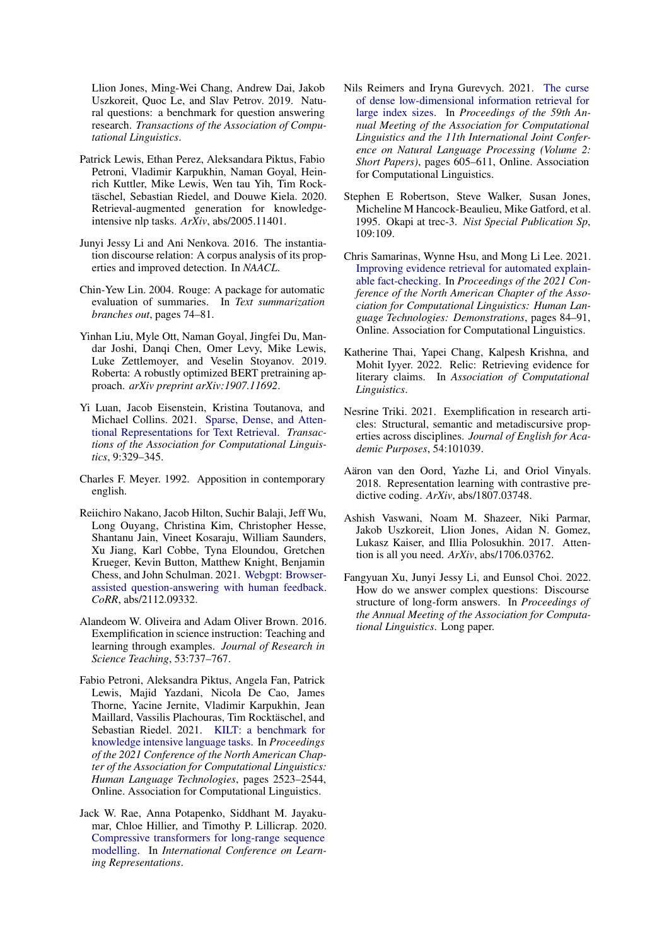Llion Jones, Ming-Wei Chang, Andrew Dai, Jakob Uszkoreit, Quoc Le, and Slav Petrov. 2019. Natural questions: a benchmark for question answering research. *Transactions of the Association of Computational Linguistics*.

- <span id="page-10-14"></span>Patrick Lewis, Ethan Perez, Aleksandara Piktus, Fabio Petroni, Vladimir Karpukhin, Naman Goyal, Heinrich Kuttler, Mike Lewis, Wen tau Yih, Tim Rocktäschel, Sebastian Riedel, and Douwe Kiela. 2020. Retrieval-augmented generation for knowledgeintensive nlp tasks. *ArXiv*, abs/2005.11401.
- <span id="page-10-13"></span>Junyi Jessy Li and Ani Nenkova. 2016. The instantiation discourse relation: A corpus analysis of its properties and improved detection. In *NAACL*.
- <span id="page-10-0"></span>Chin-Yew Lin. 2004. Rouge: A package for automatic evaluation of summaries. In *Text summarization branches out*, pages 74–81.
- <span id="page-10-7"></span>Yinhan Liu, Myle Ott, Naman Goyal, Jingfei Du, Mandar Joshi, Danqi Chen, Omer Levy, Mike Lewis, Luke Zettlemoyer, and Veselin Stoyanov. 2019. Roberta: A robustly optimized BERT pretraining approach. *arXiv preprint arXiv:1907.11692*.
- <span id="page-10-17"></span>Yi Luan, Jacob Eisenstein, Kristina Toutanova, and Michael Collins. 2021. [Sparse, Dense, and Atten](https://doi.org/10.1162/tacl_a_00369)[tional Representations for Text Retrieval.](https://doi.org/10.1162/tacl_a_00369) *Transactions of the Association for Computational Linguistics*, 9:329–345.
- <span id="page-10-1"></span>Charles F. Meyer. 1992. Apposition in contemporary english.
- <span id="page-10-15"></span>Reiichiro Nakano, Jacob Hilton, Suchir Balaji, Jeff Wu, Long Ouyang, Christina Kim, Christopher Hesse, Shantanu Jain, Vineet Kosaraju, William Saunders, Xu Jiang, Karl Cobbe, Tyna Eloundou, Gretchen Krueger, Kevin Button, Matthew Knight, Benjamin Chess, and John Schulman. 2021. [Webgpt: Browser](http://arxiv.org/abs/2112.09332)[assisted question-answering with human feedback.](http://arxiv.org/abs/2112.09332) *CoRR*, abs/2112.09332.
- <span id="page-10-12"></span>Alandeom W. Oliveira and Adam Oliver Brown. 2016. Exemplification in science instruction: Teaching and learning through examples. *Journal of Research in Science Teaching*, 53:737–767.
- <span id="page-10-5"></span>Fabio Petroni, Aleksandra Piktus, Angela Fan, Patrick Lewis, Majid Yazdani, Nicola De Cao, James Thorne, Yacine Jernite, Vladimir Karpukhin, Jean Maillard, Vassilis Plachouras, Tim Rocktäschel, and Sebastian Riedel. 2021. [KILT: a benchmark for](https://doi.org/10.18653/v1/2021.naacl-main.200) [knowledge intensive language tasks.](https://doi.org/10.18653/v1/2021.naacl-main.200) In *Proceedings of the 2021 Conference of the North American Chapter of the Association for Computational Linguistics: Human Language Technologies*, pages 2523–2544, Online. Association for Computational Linguistics.
- <span id="page-10-11"></span>Jack W. Rae, Anna Potapenko, Siddhant M. Jayakumar, Chloe Hillier, and Timothy P. Lillicrap. 2020. [Compressive transformers for long-range sequence](https://openreview.net/forum?id=SylKikSYDH) [modelling.](https://openreview.net/forum?id=SylKikSYDH) In *International Conference on Learning Representations*.
- <span id="page-10-9"></span>Nils Reimers and Iryna Gurevych. 2021. [The curse](https://arxiv.org/abs/2012.14210) [of dense low-dimensional information retrieval for](https://arxiv.org/abs/2012.14210) [large index sizes.](https://arxiv.org/abs/2012.14210) In *Proceedings of the 59th Annual Meeting of the Association for Computational Linguistics and the 11th International Joint Conference on Natural Language Processing (Volume 2: Short Papers)*, pages 605–611, Online. Association for Computational Linguistics.
- <span id="page-10-8"></span>Stephen E Robertson, Steve Walker, Susan Jones, Micheline M Hancock-Beaulieu, Mike Gatford, et al. 1995. Okapi at trec-3. *Nist Special Publication Sp*, 109:109.
- <span id="page-10-16"></span>Chris Samarinas, Wynne Hsu, and Mong Li Lee. 2021. [Improving evidence retrieval for automated explain](https://doi.org/10.18653/v1/2021.naacl-demos.10)[able fact-checking.](https://doi.org/10.18653/v1/2021.naacl-demos.10) In *Proceedings of the 2021 Conference of the North American Chapter of the Association for Computational Linguistics: Human Language Technologies: Demonstrations*, pages 84–91, Online. Association for Computational Linguistics.
- <span id="page-10-4"></span>Katherine Thai, Yapei Chang, Kalpesh Krishna, and Mohit Iyyer. 2022. Relic: Retrieving evidence for literary claims. In *Association of Computational Linguistics*.
- <span id="page-10-2"></span>Nesrine Triki. 2021. Exemplification in research articles: Structural, semantic and metadiscursive properties across disciplines. *Journal of English for Academic Purposes*, 54:101039.
- <span id="page-10-10"></span>Aäron van den Oord, Yazhe Li, and Oriol Vinyals. 2018. Representation learning with contrastive predictive coding. *ArXiv*, abs/1807.03748.
- <span id="page-10-6"></span>Ashish Vaswani, Noam M. Shazeer, Niki Parmar, Jakob Uszkoreit, Llion Jones, Aidan N. Gomez, Lukasz Kaiser, and Illia Polosukhin. 2017. Attention is all you need. *ArXiv*, abs/1706.03762.
- <span id="page-10-3"></span>Fangyuan Xu, Junyi Jessy Li, and Eunsol Choi. 2022. How do we answer complex questions: Discourse structure of long-form answers. In *Proceedings of the Annual Meeting of the Association for Computational Linguistics*. Long paper.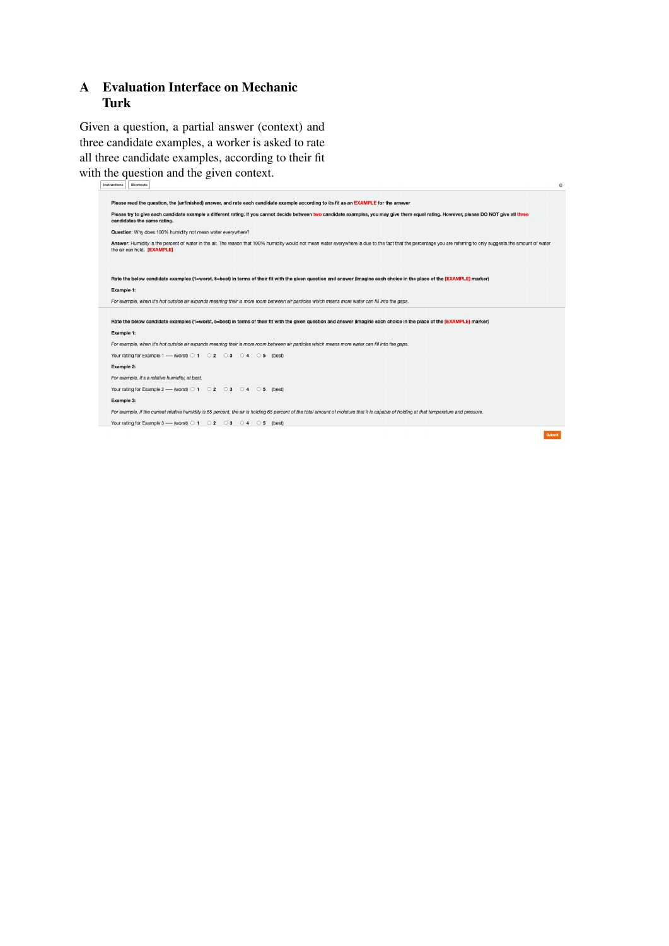# A Evaluation Interface on Mechanic Turk

Given a question, a partial answer (context) and three candidate examples, a worker is asked to rate all three candidate examples, according to their fit with the question and the given context.

| Instructions | Shortcuts                                                                                                                                                                                                                                       | $^{\circ}$ |
|--------------|-------------------------------------------------------------------------------------------------------------------------------------------------------------------------------------------------------------------------------------------------|------------|
|              |                                                                                                                                                                                                                                                 |            |
|              | Please read the question, the (unfinished) answer, and rate each candidate example according to its fit as an EXAMPLE for the answer                                                                                                            |            |
|              | Please try to give each candidate example a different rating. If you cannot decide between two candidate examples, you may give them equal rating. However, please DO NOT give all three<br>candidates the same rating.                         |            |
|              | Question: Why does 100% humidity not mean water everywhere?                                                                                                                                                                                     |            |
|              | Answer: Humidity is the percent of water in the air. The reason that 100% humidity would not mean water everywhere is due to the fact that the percentage you are referring to only suggests the amount of water<br>the air can hold. [EXAMPLE] |            |
|              |                                                                                                                                                                                                                                                 |            |
|              | Rate the below candidate examples (1=worst, 5=best) in terms of their fit with the given question and answer (imagine each choice in the place of the [EXAMPLE] marker)                                                                         |            |
|              |                                                                                                                                                                                                                                                 |            |
|              | Example 1:                                                                                                                                                                                                                                      |            |
|              | For example, when it's hot outside air expands meaning their is more room between air particles which means more water can fill into the gaps.                                                                                                  |            |
|              |                                                                                                                                                                                                                                                 |            |
|              | Rate the below candidate examples (1=worst, 5=best) in terms of their fit with the given question and answer (imagine each choice in the place of the [EXAMPLE] marker)                                                                         |            |
|              | Example 1:                                                                                                                                                                                                                                      |            |
|              | For example, when it's hot outside air expands meaning their is more room between air particles which means more water can fill into the gaps.                                                                                                  |            |
|              | Your rating for Example 1 ---- (worst) $\odot$ 1 $\odot$ 2 $\odot$ 3 $\odot$ 4<br>$\circ$ 5<br>(best)                                                                                                                                           |            |
|              | Example 2:                                                                                                                                                                                                                                      |            |
|              | For example, it's a relative humidity, at best.                                                                                                                                                                                                 |            |
|              | Your rating for Example 2 ---- (worst) $\circ$ 1<br>$02$ 03 04 05<br>(best)                                                                                                                                                                     |            |
|              | Example 3:                                                                                                                                                                                                                                      |            |
|              | For example, if the current relative humidity is 65 percent, the air is holding 65 percent of the total amount of moisture that it is capable of holding at that temperature and pressure.                                                      |            |
|              | Your rating for Example 3 ---- (worst) $\circ$ 1 $\circ$ 2 $\circ$ 3 $\circ$ 4<br>$\bigcirc$ 5 (best)                                                                                                                                           |            |
|              | <b>Submit</b>                                                                                                                                                                                                                                   |            |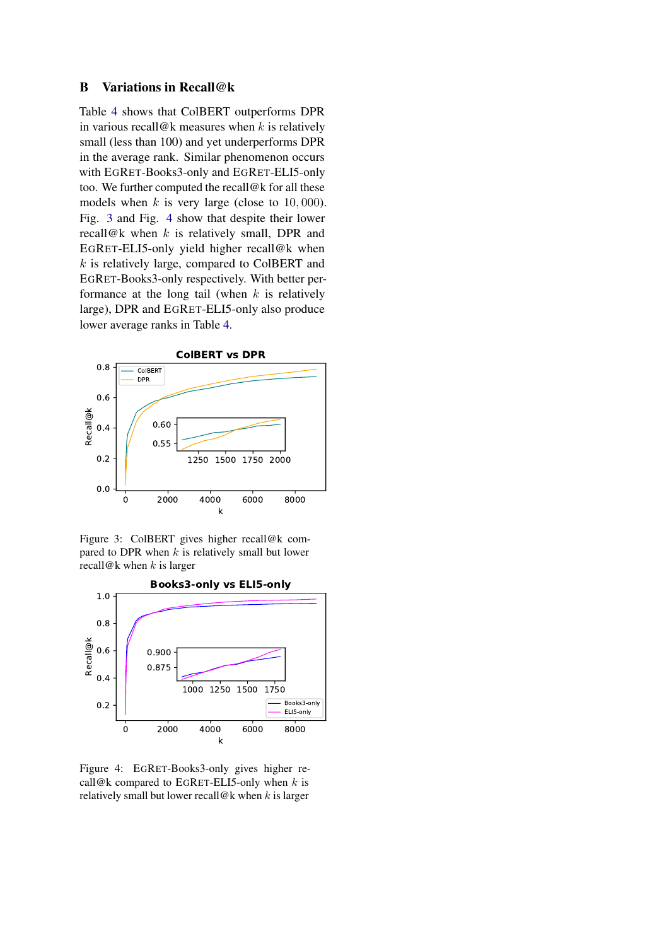## <span id="page-12-0"></span>B Variations in Recall@k

Table [4](#page-5-1) shows that ColBERT outperforms DPR in various recall@k measures when  $k$  is relatively small (less than 100) and yet underperforms DPR in the average rank. Similar phenomenon occurs with EGRET-Books3-only and EGRET-ELI5-only too. We further computed the recall@k for all these models when  $k$  is very large (close to 10,000). Fig. [3](#page-12-1) and Fig. [4](#page-12-1) show that despite their lower recall@k when  $k$  is relatively small, DPR and EGRET-ELI5-only yield higher recall@k when  $k$  is relatively large, compared to ColBERT and EGRET-Books3-only respectively. With better performance at the long tail (when  $k$  is relatively large), DPR and EGRET-ELI5-only also produce lower average ranks in Table [4.](#page-5-1)

<span id="page-12-1"></span>

Figure 3: ColBERT gives higher recall@k compared to DPR when  $k$  is relatively small but lower recall@k when  $k$  is larger



Figure 4: EGRET-Books3-only gives higher recall@k compared to EGRET-ELI5-only when  $k$  is relatively small but lower recall@k when  $k$  is larger